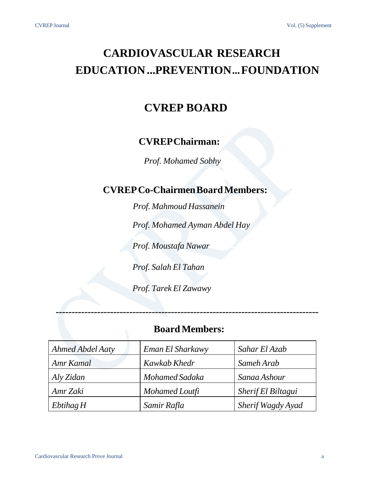### **CARDIOVASCULAR RESEARCH EDUCATION... PREVENTION…FOUNDATION**

### **CVREP BOARD**

### **CVREPChairman:**

*Prof. Mohamed Sobhy*

### **CVREPCo-ChairmenBoardMembers:**

*Prof. Mahmoud Hassanein*

*Prof. Mohamed Ayman Abdel Hay*

*Prof. Moustafa Nawar*

*Prof. Salah El Tahan*

*Prof. Tarek El Zawawy*

### **BoardMembers:**

**----------------------------------------------------------------------------------**

| Ahmed Abdel Aaty | Eman El Sharkawy | Sahar El Azab      |
|------------------|------------------|--------------------|
| Amr Kamal        | Kawkab Khedr     | Sameh Arab         |
| Aly Zidan        | Mohamed Sadaka   | Sanaa Ashour       |
| Amr Zaki         | Mohamed Loutfi   | Sherif El Biltagui |
| EbtihagH         | Samir Rafla      | Sherif Wagdy Ayad  |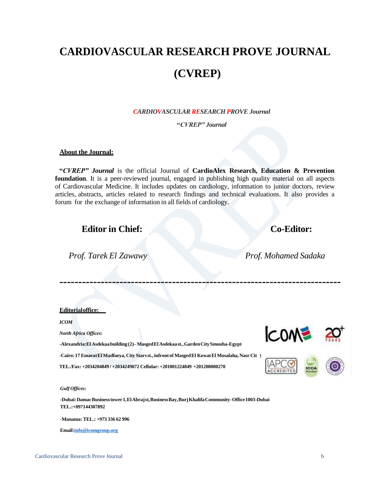## **CARDIOVASCULAR RESEARCH PROVE JOURNAL (CVREP)**

*CARDIOVASCULAR RESEARCH PROVE Journal*

**"***CVREP" Journal*

### **About the Journal:**

**"***CVREP" Journal* is the official Journal of **CardioAlex Research, Education & Prevention foundation**. It is a peer-reviewed journal, engaged in publishing high quality material on all aspects of Cardiovascular Medicine. It includes updates on cardiology, information to junior doctors, review articles, abstracts, articles related to research findings and technical evaluations. It also provides a forum for the exchange of information in all fields of cardiology.

**---------------------------------------------------------------------------**

### **Editor in Chief: Co-Editor:**

*Prof. Tarek El Zawawy Prof. Mohamed Sadaka*

### **Editorialoffice:**

*ICOM*

*North Africa Offices:*

**y-Egypt** -**Cairo:17 EmaratEl Madfaeya, City Starsst., infront of MasgedEl KowatEl Mosalaha, Nasr Cit -Alexandria:El Asdekaabuilding (2)–MasgedEl Asdekaast.,GardenCitySmouha-Egypt TEL./Fax: +2034204849 / +2034249072 Cellular: +201001224849 +201208000270**





*Gulf [Offices](mailto:info@icomgroup.org)***:**

**-Dubai:DamacBusinesstower1,ElAbrajst,BusinessBay,BurjKhalifaCommunity-Office1003-Dubai TEL.:+097144307892**

-**Manama:TEL.: +973 336 62 996**

**[Email:info@icomgroup.org](mailto:info@icomgroup.org)**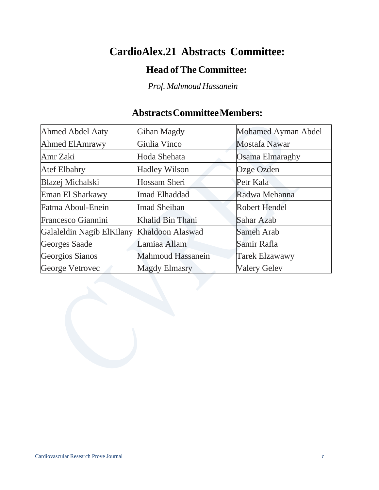### **CardioAlex.21 Abstracts Committee:**

### **Head of The Committee:**

*Prof. Mahmoud Hassanein*

### **AbstractsCommitteeMembers:**

| <b>Ahmed Abdel Aaty</b>   | Gihan Magdy              | Mohamed Ayman Abdel   |
|---------------------------|--------------------------|-----------------------|
| <b>Ahmed ElAmrawy</b>     | Giulia Vinco             | <b>Mostafa Nawar</b>  |
| Amr Zaki                  | Hoda Shehata             | Osama Elmaraghy       |
| <b>Atef Elbahry</b>       | <b>Hadley Wilson</b>     | Ozge Ozden            |
| Blazej Michalski          | Hossam Sheri             | Petr Kala             |
| Eman El Sharkawy          | Imad Elhaddad            | Radwa Mehanna         |
| Fatma Aboul-Enein         | <b>Imad Sheiban</b>      | <b>Robert Hendel</b>  |
| Francesco Giannini        | Khalid Bin Thani         | Sahar Azab            |
| Galaleldin Nagib ElKilany | Khaldoon Alaswad         | Sameh Arab            |
| Georges Saade             | Lamiaa Allam             | Samir Rafla           |
| Georgios Sianos           | <b>Mahmoud Hassanein</b> | <b>Tarek Elzawawy</b> |
| George Vetrovec           | <b>Magdy Elmasry</b>     | <b>Valery Gelev</b>   |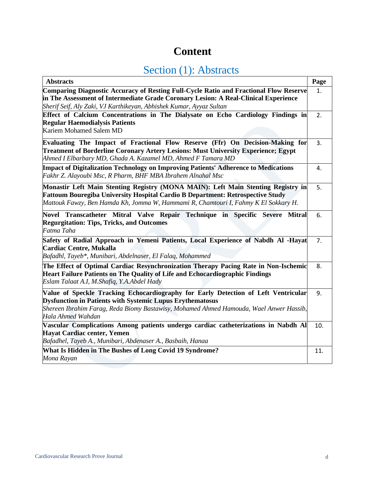### **Content**

### Section (1): Abstracts

| <b>Abstracts</b>                                                                                                                                                                                                                                                      | Page |
|-----------------------------------------------------------------------------------------------------------------------------------------------------------------------------------------------------------------------------------------------------------------------|------|
| <b>Comparing Diagnostic Accuracy of Resting Full-Cycle Ratio and Fractional Flow Reserve</b><br>in The Assessment of Intermediate Grade Coronary Lesion: A Real-Clinical Experience                                                                                   | 1.   |
| Sherif Seif, Aly Zaki, VJ Karthikeyan, Abhishek Kumar, Ayyaz Sultan                                                                                                                                                                                                   |      |
| Effect of Calcium Concentrations in The Dialysate on Echo Cardiology Findings in<br><b>Regular Haemodialysis Patients</b><br>Kariem Mohamed Salem MD                                                                                                                  | 2.   |
| Evaluating The Impact of Fractional Flow Reserve (Ffr) On Decision-Making for<br>Treatment of Borderline Coronary Artery Lesions: Must University Experience; Egypt<br>Ahmed I Elbarbary MD, Ghada A. Kazamel MD, Ahmed F Tamara MD                                   | 3.   |
| Impact of Digitalization Technology on Improving Patients' Adherence to Medications<br>Fakhr Z. Alayoubi Msc, R Pharm, BHF MBA Ibrahem Alnahal Msc                                                                                                                    | 4.   |
| Monastir Left Main Stenting Registry (MONA MAIN): Left Main Stenting Registry in<br><b>Fattoum Bouregiba University Hospital Cardio B Department: Retrospective Study</b><br>Mattouk Fawzy, Ben Hamda Kh, Jomma W, Hammami R, Chamtouri I, Fahmy K El Sokkary H.      | 5.   |
| Novel Transcatheter Mitral Valve Repair Technique in Specific Severe Mitral<br><b>Regurgitation: Tips, Tricks, and Outcomes</b><br>Fatma Taha                                                                                                                         | 6.   |
| Safety of Radial Approach in Yemeni Patients, Local Experience of Nabdh Al -Hayat<br><b>Cardiac Centre, Mukalla</b><br>Bafadhl, Tayeb*, Munibari, Abdelnaser, El Falaq, Mohammed                                                                                      | 7.   |
| The Effect of Optimal Cardiac Resynchronization Therapy Pacing Rate in Non-Ischemic<br>Heart Failure Patients on The Quality of Life and Echocardiographic Findings<br>Eslam Talaat A.I, M.Shafiq, Y.A.Abdel Hady                                                     | 8.   |
| Value of Speckle Tracking Echocardiography for Early Detection of Left Ventricular<br><b>Dysfunction in Patients with Systemic Lupus Erythematosus</b><br>Shereen Ibrahim Farag, Reda Biomy Bastawisy, Mohamed Ahmed Hamouda, Wael Anwer Hassib,<br>Hala Ahmed Wahdan | 9.   |
| Vascular Complications Among patients undergo cardiac catheterizations in Nabdh Al<br>Hayat Cardiac center, Yemen<br>Bafadhel, Tayeb A., Munibari, Abdenaser A., Basbaih, Hanaa                                                                                       | 10.  |
| What Is Hidden in The Bushes of Long Covid 19 Syndrome?<br>Mona Rayan                                                                                                                                                                                                 | 11.  |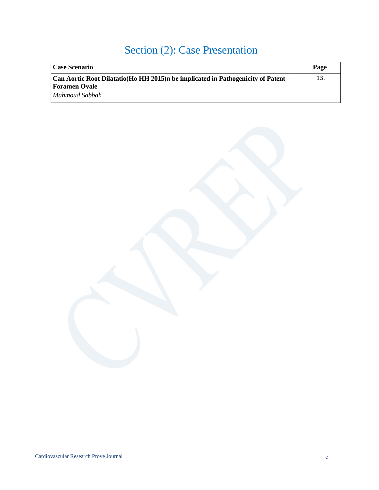### Section (2): Case Presentation

| <b>Case Scenario</b>                                                            | Page |
|---------------------------------------------------------------------------------|------|
| Can Aortic Root Dilatatio(Ho HH 2015)n be implicated in Pathogenicity of Patent | 13.  |
| <b>Foramen Ovale</b>                                                            |      |
| Mahmoud Sabbah                                                                  |      |

Cardiovascular Research Prove Journal e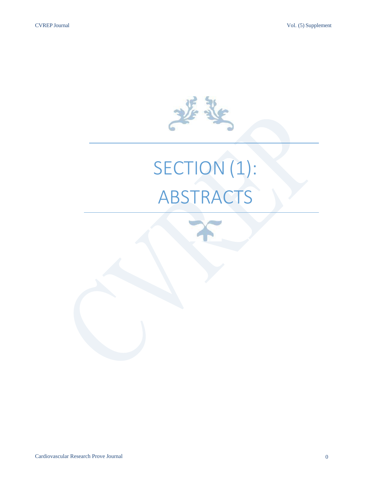

# SECTION (1): ABSTRACTS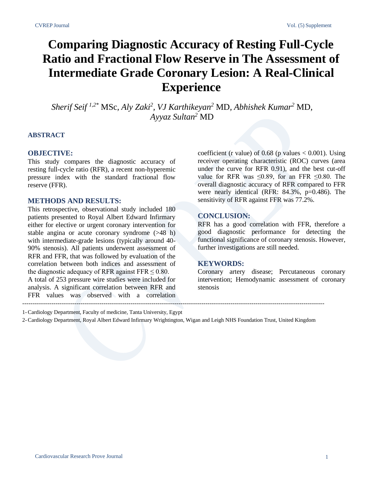### **Comparing Diagnostic Accuracy of Resting Full-Cycle Ratio and Fractional Flow Reserve in The Assessment of Intermediate Grade Coronary Lesion: A Real-Clinical Experience**

*Sherif Seif 1,2\** MSc*, Aly Zaki<sup>2</sup> , VJ Karthikeyan<sup>2</sup>* MD*, Abhishek Kumar<sup>2</sup>* MD*, Ayyaz Sultan<sup>2</sup>* MD

#### **ABSTRACT**

### **OBJECTIVE:**

This study compares the diagnostic accuracy of resting full-cycle ratio (RFR), a recent non-hyperemic pressure index with the standard fractional flow reserve (FFR).

### **METHODS AND RESULTS:**

This retrospective, observational study included 180 patients presented to Royal Albert Edward Infirmary either for elective or urgent coronary intervention for stable angina or acute coronary syndrome (>48 h) with intermediate-grade lesions (typically around 40- 90% stenosis). All patients underwent assessment of RFR and FFR, that was followed by evaluation of the correlation between both indices and assessment of the diagnostic adequacy of RFR against  $FFR \le 0.80$ . A total of 253 pressure wire studies were included for analysis. A significant correlation between RFR and FFR values was observed with a correlation coefficient (r value) of  $0.68$  (p values  $< 0.001$ ). Using receiver operating characteristic (ROC) curves (area under the curve for RFR 0.91), and the best cut-off value for RFR was  $\leq 0.89$ , for an FFR  $\leq 0.80$ . The overall diagnostic accuracy of RFR compared to FFR were nearly identical (RFR: 84.3%, p=0.486). The sensitivity of RFR against FFR was 77.2%.

### **CONCLUSION:**

RFR has a good correlation with FFR, therefore a good diagnostic performance for detecting the functional significance of coronary stenosis. However, further investigations are still needed.

### **KEYWORDS:**

Coronary artery disease; Percutaneous coronary intervention; Hemodynamic assessment of coronary stenosis

1-Cardiology Department, Faculty of medicine, Tanta University, Egypt

2-Cardiology Department, Royal Albert Edward Infirmary Wrightington, Wigan and Leigh NHS Foundation Trust, United Kingdom

-------------------------------------------------------------------------------------------------------------------------------------------------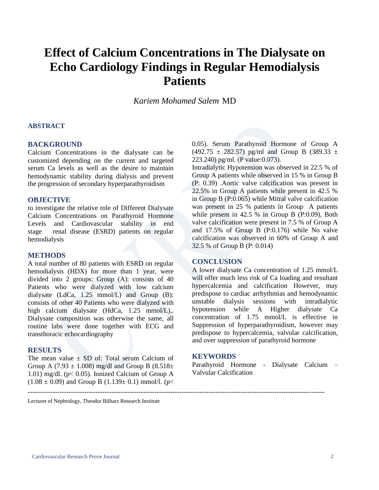### **Effect of Calcium Concentrations in The Dialysate on Echo Cardiology Findings in Regular Hemodialysis Patients**

*Kariem Mohamed Salem* MD

### **ABSTRACT**

### **BACKGROUND**

Calcium Concentrations in the dialysate can be customized depending on the current and targeted serum Ca levels as well as the desire to maintain hemodynamic stability during dialysis and prevent the progression of secondary hyperparathyroidism

#### **OBJECTIVE**

to investigate the relative role of Different Dialysate Calcium Concentrations on Parathyroid Hormone Levels and Cardiovascular stability in end stage renal disease (ESRD) patients on regular hemodialysis

#### **METHODS**

A total number of 80 patients with ESRD on regular hemodialysis (HDX) for more than 1 year, were divided into 2 groups: Group (A): consists of 40 Patients who were dialyzed with low calcium dialysate (LdCa, 1.25 mmol/L) and Group (B): consists of other 40 Patients who were dialyzed with high calcium dialysate (HdCa, 1.25 mmol/L),. Dialysate composition was otherwise the same, all routine labs were done together with ECG and transthoracic echocardiography

### **RESULTS**

The mean value  $\pm$  SD of: Total serum Calcium of Group A (7.93  $\pm$  1.008) mg/dl and Group B (8.518 $\pm$ 1.01) mg/dl. (p< 0.05). Ionized Calcium of Group A  $(1.08 \pm 0.09)$  and Group B  $(1.139 \pm 0.1)$  mmol/l. (p<

0.05). Serum Parathyroid Hormone of Group A  $(492.75 \pm 282.57)$  pg/ml and Group B  $(389.33 \pm 1)$ 223.240) pg/ml. (P value:0.073).

Intradialytic Hypotension was observed in 22.5 % of Group A patients while observed in 15 % in Group B (P: 0.39) .Aortic valve calcification was present in 22.5% in Group A patients while present in 42.5 % in Group B (P:0.065) while Mitral valve calcification was present in 25 % patients in Group A patients while present in 42.5 % in Group B (P:0.09), Both valve calcification were present in 7.5 % of Group A and 17.5% of Group B (P:0.176) while No valve calcification was observed in 60% of Group A and 32.5 % of Group B (P: 0.014)

### **CONCLUSION**

A lower dialysate Ca concentration of 1.25 mmol/L will offer much less risk of Ca loading and resultant hypercalcemia and calcification However, may predispose to cardiac arrhythmias and hemodynamic unstable dialysis sessions with intradialytic hypotension while A Higher dialysate Ca concentration of 1.75 mmol/L is effective in Suppression of hyperparathyroidism, however may predispose to hypercalcemia, valvular calcification, and over suppression of parathyroid hormone

### **KEYWORDS**

-----------------------------------------------------------------------------------------------------------------------------------

Parathyroid Hormone - Dialysate Calcium – Valvular Calcification

Lecturer of Nephrology, Theodor Bilharz Research Institute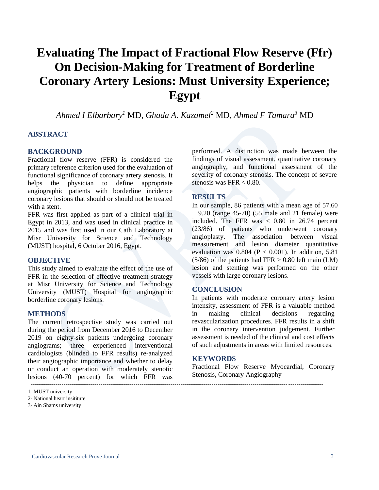### **Evaluating The Impact of Fractional Flow Reserve (Ffr) On Decision-Making for Treatment of Borderline Coronary Artery Lesions: Must University Experience; Egypt**

*Ahmed I Elbarbary<sup>1</sup>* MD*, Ghada A. Kazamel<sup>2</sup>* MD*, Ahmed F Tamara<sup>3</sup>* MD

### **ABSTRACT**

### **BACKGROUND**

Fractional flow reserve (FFR) is considered the primary reference criterion used for the evaluation of functional significance of coronary artery stenosis. It helps the physician to define appropriate angiographic patients with borderline incidence coronary lesions that should or should not be treated with a stent.

FFR was first applied as part of a clinical trial in Egypt in 2013, and was used in clinical practice in 2015 and was first used in our Cath Laboratory at Misr University for Science and Technology (MUST) hospital, 6 October 2016, Egypt.

### **OBJECTIVE**

This study aimed to evaluate the effect of the use of FFR in the selection of effective treatment strategy at Misr University for Science and Technology University (MUST) Hospital for angiographic borderline coronary lesions.

### **METHODS**

The current retrospective study was carried out during the period from December 2016 to December 2019 on eighty-six patients undergoing coronary angiograms; three experienced interventional cardiologists (blinded to FFR results) re-analyzed their angiographic importance and whether to delay or conduct an operation with moderately stenotic lesions (40-70 percent) for which FFR was ----------------------------------------------------------------------------------------------------------------------------------------------

performed. A distinction was made between the findings of visual assessment, quantitative coronary angiography, and functional assessment of the severity of coronary stenosis. The concept of severe stenosis was FFR < 0.80.

### **RESULTS**

In our sample, 86 patients with a mean age of 57.60  $\pm$  9.20 (range 45-70) (55 male and 21 female) were included. The FFR was < 0.80 in 26.74 percent (23/86) of patients who underwent coronary angioplasty. The association between visual measurement and lesion diameter quantitative evaluation was  $0.804$  (P < 0.001). In addition, 5.81  $(5/86)$  of the patients had FFR  $> 0.80$  left main (LM) lesion and stenting was performed on the other vessels with large coronary lesions.

### **CONCLUSION**

In patients with moderate coronary artery lesion intensity, assessment of FFR is a valuable method in making clinical decisions regarding revascularization procedures. FFR results in a shift in the coronary intervention judgement. Further assessment is needed of the clinical and cost effects of such adjustments in areas with limited resources.

### **KEYWORDS**

Fractional Flow Reserve Myocardial, Coronary Stenosis, Coronary Angiography

<sup>1-</sup> MUST university

<sup>2-</sup> National heart insititute

<sup>3-</sup> Ain Shams university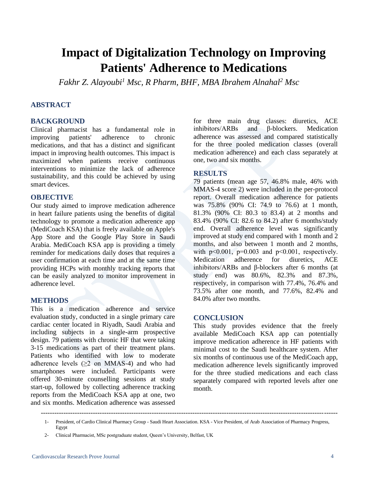### **Impact of Digitalization Technology on Improving Patients' Adherence to Medications**

*Fakhr Z. Alayoubi<sup>1</sup> Msc, R Pharm, BHF, MBA Ibrahem Alnahal<sup>2</sup> Msc*

### **ABSTRACT**

### **BACKGROUND**

Clinical pharmacist has a fundamental role in improving patients' adherence to chronic medications, and that has a distinct and significant impact in improving health outcomes. This impact is maximized when patients receive continuous interventions to minimize the lack of adherence sustainability, and this could be achieved by using smart devices.

### **OBJECTIVE**

Our study aimed to improve medication adherence in heart failure patients using the benefits of digital technology to promote a medication adherence app (MediCoach KSA) that is freely available on Apple's App Store and the Google Play Store in Saudi Arabia. MediCoach KSA app is providing a timely reminder for medications daily doses that requires a user confirmation at each time and at the same time providing HCPs with monthly tracking reports that can be easily analyzed to monitor improvement in adherence level.

### **METHODS**

This is a medication adherence and service evaluation study, conducted in a single primary care cardiac center located in Riyadh, Saudi Arabia and including subjects in a single-arm prospective design. 79 patients with chronic HF that were taking 3-15 medications as part of their treatment plans. Patients who identified with low to moderate adherence levels  $(≥2$  on MMAS-4) and who had smartphones were included. Participants were offered 30-minute counselling sessions at study start-up, followed by collecting adherence tracking reports from the MediCoach KSA app at one, two and six months. Medication adherence was assessed

for three main drug classes: diuretics, ACE inhibitors/ARBs and β-blockers. Medication adherence was assessed and compared statistically for the three pooled medication classes (overall medication adherence) and each class separately at one, two and six months.

### **RESULTS**

79 patients (mean age 57, 46.8% male, 46% with MMAS-4 score 2) were included in the per-protocol report. Overall medication adherence for patients was 75.8% (90% CI: 74.9 to 76.6) at 1 month, 81.3% (90% CI: 80.3 to 83.4) at 2 months and 83.4% (90% CI: 82.6 to 84.2) after 6 months/study end. Overall adherence level was significantly improved at study end compared with 1 month and 2 months, and also between 1 month and 2 months, with  $p<0.001$ ,  $p=0.003$  and  $p<0.001$ , respectively. Medication adherence for diuretics, ACE inhibitors/ARBs and β-blockers after 6 months (at study end) was 80.6%, 82.3% and 87.3%, respectively, in comparison with 77.4%, 76.4% and 73.5% after one month, and 77.6%, 82.4% and 84.0% after two months.

### **CONCLUSION**

This study provides evidence that the freely available MediCoach KSA app can potentially improve medication adherence in HF patients with minimal cost to the Saudi healthcare system. After six months of continuous use of the MediCoach app, medication adherence levels significantly improved for the three studied medications and each class separately compared with reported levels after one month.

-----------------------------------------------------------------------------------------------------------------------------------

<sup>1-</sup> President, of Cardio Clinical Pharmacy Group - Saudi Heart Association. KSA - Vice President, of Arab Association of Pharmacy Progress, Egypt

<sup>2-</sup> Clinical Pharmacist, MSc postgraduate student, Queen's University, Belfast, UK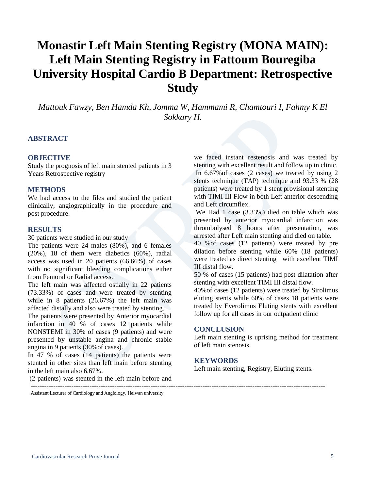### **Monastir Left Main Stenting Registry (MONA MAIN): Left Main Stenting Registry in Fattoum Bouregiba University Hospital Cardio B Department: Retrospective Study**

*Mattouk Fawzy, Ben Hamda Kh, Jomma W, Hammami R, Chamtouri I, Fahmy K El Sokkary H.*

### **ABSTRACT**

### **OBJECTIVE**

Study the prognosis of left main stented patients in 3 Years Retrospective registry

#### **METHODS**

We had access to the files and studied the patient clinically, angiographically in the procedure and post procedure.

### **RESULTS**

30 patients were studied in our study

The patients were 24 males (80%), and 6 females (20%), 18 of them were diabetics (60%), radial access was used in 20 patients (66.66%) of cases with no significant bleeding complications either from Femoral or Radial access.

The left main was affected ostially in 22 patients (73.33%) of cases and were treated by stenting while in 8 patients (26.67%) the left main was affected distally and also were treated by stenting.

The patients were presented by Anterior myocardial infarction in 40 % of cases 12 patients while NONSTEMI in 30% of cases (9 patients) and were presented by unstable angina and chronic stable angina in 9 patients (30%of cases).

In 47 % of cases (14 patients) the patients were stented in other sites than left main before stenting in the left main also 6.67%.

(2 patients) was stented in the left main before and

we faced instant restenosis and was treated by stenting with excellent result and follow up in clinic. In 6.67%of cases (2 cases) we treated by using 2 stents technique (TAP) technique and 93.33 % (28 patients) were treated by 1 stent provisional stenting with TIMI III Flow in both Left anterior descending and Left circumflex.

We Had 1 case (3.33%) died on table which was presented by anterior myocardial infarction was thrombolysed 8 hours after presentation, was arrested after Left main stenting and died on table.

40 %of cases (12 patients) were treated by pre dilation before stenting while 60% (18 patients) were treated as direct stenting with excellent TIMI III distal flow.

50 % of cases (15 patients) had post dilatation after stenting with excellent TIMI III distal flow.

40%of cases (12 patients) were treated by Sirolimus eluting stents while 60% of cases 18 patients were treated by Everolimus Eluting stents with excellent follow up for all cases in our outpatient clinic

#### **CONCLUSION**

Left main stenting is uprising method for treatment of left main stenosis.

### **KEYWORDS**

Left main stenting, Registry, Eluting stents.

Assistant Lecturer of Cardiology and Angiology, Helwan university

----------------------------------------------------------------------------------------------------------------------------------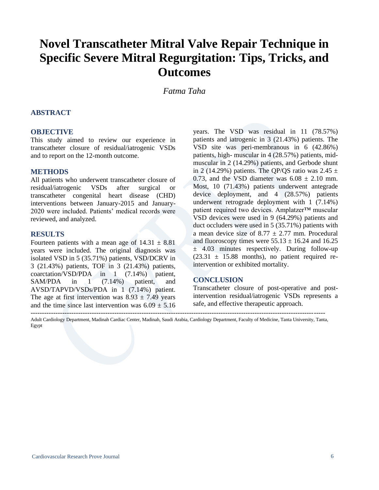### **Novel Transcatheter Mitral Valve Repair Technique in Specific Severe Mitral Regurgitation: Tips, Tricks, and Outcomes**

*Fatma Taha*

### **ABSTRACT**

#### **OBJECTIVE**

This study aimed to review our experience in transcatheter closure of residual/iatrogenic VSDs and to report on the 12-month outcome.

#### **METHODS**

All patients who underwent transcatheter closure of residual/iatrogenic VSDs after surgical or transcatheter congenital heart disease (CHD) interventions between January-2015 and January-2020 were included. Patients' medical records were reviewed, and analyzed.

#### **RESULTS**

Fourteen patients with a mean age of  $14.31 \pm 8.81$ years were included. The original diagnosis was isolated VSD in 5 (35.71%) patients, VSD/DCRV in 3 (21.43%) patients, TOF in 3 (21.43%) patients, coarctation/VSD/PDA in 1 (7.14%) patient, SAM/PDA in 1 (7.14%) patient, and AVSD/TAPVD/VSDs/PDA in 1 (7.14%) patient. The age at first intervention was  $8.93 \pm 7.49$  years and the time since last intervention was  $6.09 \pm 5.16$ 

years. The VSD was residual in 11 (78.57%) patients and iatrogenic in 3 (21.43%) patients. The VSD site was peri-membranous in 6 (42.86%) patients, high- muscular in 4 (28.57%) patients, midmuscular in 2 (14.29%) patients, and Gerbode shunt in 2 (14.29%) patients. The QP/QS ratio was  $2.45 \pm$ 0.73, and the VSD diameter was  $6.08 \pm 2.10$  mm. Most, 10 (71.43%) patients underwent antegrade device deployment, and 4 (28.57%) patients underwent retrograde deployment with 1 (7.14%) patient required two devices. Amplatzer™ muscular VSD devices were used in 9 (64.29%) patients and duct occluders were used in 5 (35.71%) patients with a mean device size of  $8.77 \pm 2.77$  mm. Procedural and fluoroscopy times were  $55.13 \pm 16.24$  and  $16.25$  $\pm$  4.03 minutes respectively. During follow-up  $(23.31 \pm 15.88$  months), no patient required reintervention or exhibited mortality.

### **CONCLUSION**

Transcatheter closure of post-operative and postintervention residual/iatrogenic VSDs represents a safe, and effective therapeutic approach.

---------------------------------------------------------------------------------------------------------------------------------- Adult Cardiology Department, Madinah Cardiac Center, Madinah, Saudi Arabia, Cardiology Department, Faculty of Medicine, Tanta University, Tanta, Egypt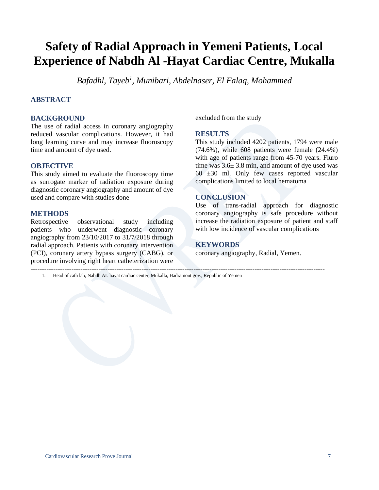### **Safety of Radial Approach in Yemeni Patients, Local Experience of Nabdh Al -Hayat Cardiac Centre, Mukalla**

*Bafadhl, Tayeb<sup>1</sup> , Munibari, Abdelnaser, El Falaq, Mohammed*

### **ABSTRACT**

### **BACKGROUND**

The use of radial access in coronary angiography reduced vascular complications. However, it had long learning curve and may increase fluoroscopy time and amount of dye used.

### **OBJECTIVE**

This study aimed to evaluate the fluoroscopy time as surrogate marker of radiation exposure during diagnostic coronary angiography and amount of dye used and compare with studies done

### **METHODS**

Retrospective observational study including patients who underwent diagnostic coronary angiography from 23/10/2017 to 31/7/2018 through radial approach. Patients with coronary intervention (PCI), coronary artery bypass surgery (CABG), or procedure involving right heart catheterization were ----------------------------------------------------------------------------------------------------------------------------------

excluded from the study

#### **RESULTS**

This study included 4202 patients, 1794 were male (74.6%), while 608 patients were female (24.4%) with age of patients range from 45-70 years. Fluro time was 3.6± 3.8 min, and amount of dye used was  $60 \pm 30$  ml. Only few cases reported vascular complications limited to local hematoma

### **CONCLUSION**

Use of trans-radial approach for diagnostic coronary angiography is safe procedure without increase the radiation exposure of patient and staff with low incidence of vascular complications

### **KEYWORDS**

coronary angiography, Radial, Yemen.

1. Head of cath lab, Nabdh AL hayat cardiac center, Mukalla, Hadramout gov., Republic of Yemen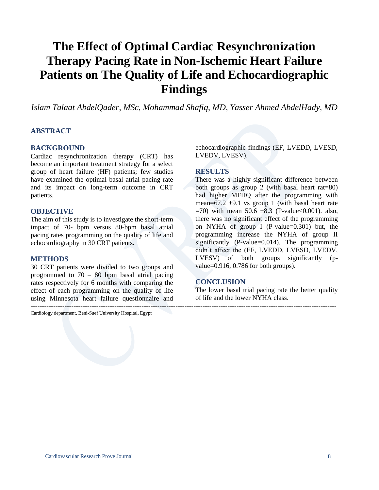### **The Effect of Optimal Cardiac Resynchronization Therapy Pacing Rate in Non-Ischemic Heart Failure Patients on The Quality of Life and Echocardiographic Findings**

*Islam Talaat AbdelQader, MSc, Mohammad Shafiq, MD, Yasser Ahmed AbdelHady, MD*

---------------------------------------------------------------------------------------------------------------------------------------

### **ABSTRACT**

### **BACKGROUND**

Cardiac resynchronization therapy (CRT) has become an important treatment strategy for a select group of heart failure (HF) patients; few studies have examined the optimal basal atrial pacing rate and its impact on long-term outcome in CRT patients.

#### **OBJECTIVE**

The aim of this study is to investigate the short-term impact of 70- bpm versus 80-bpm basal atrial pacing rates programming on the quality of life and echocardiography in 30 CRT patients.

### **METHODS**

30 CRT patients were divided to two groups and programmed to 70 – 80 bpm basal atrial pacing rates respectively for 6 months with comparing the effect of each programming on the quality of life using Minnesota heart failure questionnaire and

Cardiology department, Beni-Suef University Hospital, Egypt

echocardiographic findings (EF, LVEDD, LVESD, LVEDV, LVESV).

#### **RESULTS**

There was a highly significant difference between both groups as group 2 (with basal heart rat=80) had higher MFHQ after the programming with mean=67.2  $\pm$ 9.1 vs group 1 (with basal heart rate  $=70$ ) with mean 50.6  $\pm 8.3$  (P-value < 0.001). also, there was no significant effect of the programming on NYHA of group I (P-value=0.301) but, the programming increase the NYHA of group II significantly (P-value=0.014). The programming didn't affect the (EF, LVEDD, LVESD, LVEDV, LVESV) of both groups significantly (pvalue=0.916, 0.786 for both groups).

### **CONCLUSION**

The lower basal trial pacing rate the better quality of life and the lower NYHA class.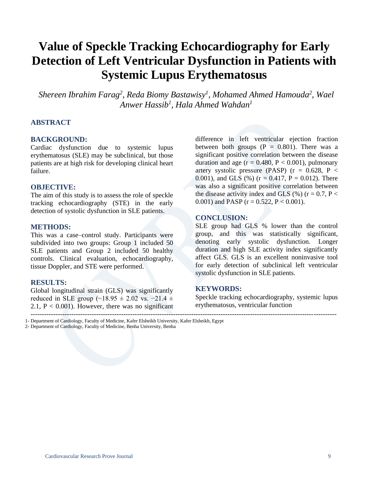### **Value of Speckle Tracking Echocardiography for Early Detection of Left Ventricular Dysfunction in Patients with Systemic Lupus Erythematosus**

*Shereen Ibrahim Farag<sup>2</sup> , Reda Biomy Bastawisy<sup>1</sup> , Mohamed Ahmed Hamouda<sup>2</sup> , Wael Anwer Hassib<sup>1</sup> , Hala Ahmed Wahdan<sup>1</sup>*

### **ABSTRACT**

### **BACKGROUND:**

Cardiac dysfunction due to systemic lupus erythematosus (SLE) may be subclinical, but those patients are at high risk for developing clinical heart failure.

### **OBJECTIVE:**

The aim of this study is to assess the role of speckle tracking echocardiography (STE) in the early detection of systolic dysfunction in SLE patients.

#### **METHODS:**

This was a case–control study. Participants were subdivided into two groups: Group 1 included 50 SLE patients and Group 2 included 50 healthy controls. Clinical evaluation, echocardiography, tissue Doppler, and STE were performed.

#### **RESULTS:**

Global longitudinal strain (GLS) was significantly reduced in SLE group ( $-18.95 \pm 2.02$  vs.  $-21.4 \pm 1.02$ 2.1,  $P < 0.001$ ). However, there was no significant difference in left ventricular ejection fraction between both groups  $(P = 0.801)$ . There was a significant positive correlation between the disease duration and age ( $r = 0.480$ ,  $P < 0.001$ ), pulmonary artery systolic pressure (PASP) ( $r = 0.628$ , P < 0.001), and GLS  $(\%)(r = 0.417, P = 0.012)$ . There was also a significant positive correlation between the disease activity index and GLS  $(\%)(r = 0.7, P <$ 0.001) and PASP ( $r = 0.522$ ,  $P < 0.001$ ).

### **CONCLUSION:**

SLE group had GLS % lower than the control group, and this was statistically significant, denoting early systolic dysfunction. Longer duration and high SLE activity index significantly affect GLS. GLS is an excellent noninvasive tool for early detection of subclinical left ventricular systolic dysfunction in SLE patients.

### **KEYWORDS:**

Speckle tracking echocardiography, systemic lupus erythematosus, ventricular function

---------------------------------------------------------------------------------------------------------------------------------------

1- Department of Cardiology, Faculty of Medicine, Kafer Elsheikh University, Kafer Elsheikh, Egypt 2- Department of Cardiology, Faculty of Medicine, Benha University, Benha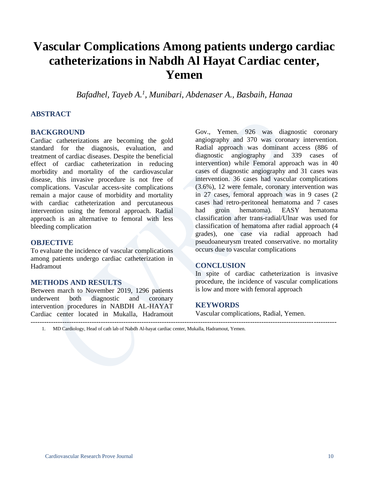### **Vascular Complications Among patients undergo cardiac catheterizations in Nabdh Al Hayat Cardiac center, Yemen**

*Bafadhel, Tayeb A.<sup>1</sup> , Munibari, Abdenaser A., Basbaih, Hanaa*

### **ABSTRACT**

### **BACKGROUND**

Cardiac catheterizations are becoming the gold standard for the diagnosis, evaluation, and treatment of cardiac diseases. Despite the beneficial effect of cardiac catheterization in reducing morbidity and mortality of the cardiovascular disease, this invasive procedure is not free of complications. Vascular access-site complications remain a major cause of morbidity and mortality with cardiac catheterization and percutaneous intervention using the femoral approach. Radial approach is an alternative to femoral with less bleeding complication

### **OBJECTIVE**

To evaluate the incidence of vascular complications among patients undergo cardiac catheterization in Hadramout

### **METHODS AND RESULTS**

Between march to November 2019, 1296 patients underwent both diagnostic and coronary intervention procedures in NABDH AL-HAYAT Cardiac center located in Mukalla, Hadramout ---------------------------------------------------------------------------------------------------------------------------------------

Gov., Yemen. 926 was diagnostic coronary angiography and 370 was coronary intervention. Radial approach was dominant access (886 of diagnostic angiography and 339 cases of intervention) while Femoral approach was in 40 cases of diagnostic angiography and 31 cases was intervention. 36 cases had vascular complications (3.6%), 12 were female, coronary intervention was in 27 cases, femoral approach was in 9 cases (2 cases had retro-peritoneal hematoma and 7 cases had groin hematoma). EASY hematoma classification after trans-radial/Ulnar was used for classification of hematoma after radial approach (4 grades), one case via radial approach had pseudoaneurysm treated conservative. no mortality occurs due to vascular complications

### **CONCLUSION**

In spite of cardiac catheterization is invasive procedure, the incidence of vascular complications is low and more with femoral approach

#### **KEYWORDS**

Vascular complications, Radial, Yemen.

1. MD Cardiology, Head of cath lab of Nabdh Al-hayat cardiac center, Mukalla, Hadramout, Yemen.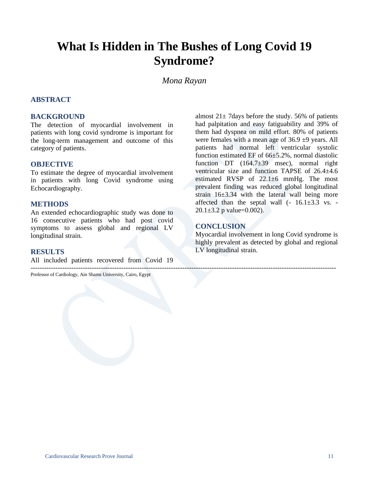### **What Is Hidden in The Bushes of Long Covid 19 Syndrome?**

### *Mona Rayan*

### **ABSTRACT**

### **BACKGROUND**

The detection of myocardial involvement in patients with long covid syndrome is important for the long-term management and outcome of this category of patients.

### **OBJECTIVE**

To estimate the degree of myocardial involvement in patients with long Covid syndrome using Echocardiography.

### **METHODS**

An extended echocardiographic study was done to 16 consecutive patients who had post covid symptoms to assess global and regional LV longitudinal strain.

### **RESULTS**

All included patients recovered from Covid 19

--------------------------------------------------------------------------------------------------------------------------------------- Professor of Cardiology, Ain Shams University, Cairo, Egypt

almost  $21 \pm 7$  days before the study. 56% of patients had palpitation and easy fatiguability and 39% of them had dyspnea on mild effort. 80% of patients were females with a mean age of  $36.9 \pm 9$  years. All patients had normal left ventricular systolic function estimated EF of 66±5.2%, normal diastolic function DT (164.7±39 msec), normal right ventricular size and function TAPSE of 26.4±4.6 estimated RVSP of 22.1±6 mmHg. The most prevalent finding was reduced global longitudinal strain 16±3.34 with the lateral wall being more affected than the septal wall  $(-16.1\pm3.3 \text{ vs. -}$  $20.1 \pm 3.2$  p value=0.002).

### **CONCLUSION**

Myocardial involvement in long Covid syndrome is highly prevalent as detected by global and regional LV longitudinal strain.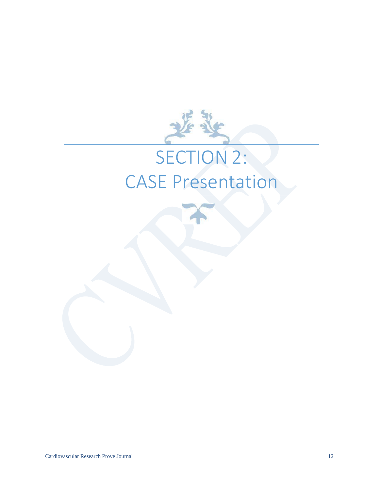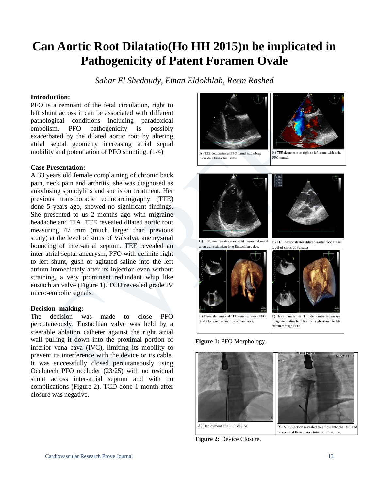### **Can Aortic Root Dilatatio(Ho HH 2015)n be implicated in Pathogenicity of Patent Foramen Ovale**

*Sahar El Shedoudy, Eman Eldokhlah, Reem Rashed*

### **Introduction:**

PFO is a remnant of the fetal circulation, right to left shunt across it can be associated with different pathological conditions including paradoxical embolism. PFO pathogenicity is possibly exacerbated by the dilated aortic root by altering atrial septal geometry increasing atrial septal mobility and potentiation of PFO shunting. (1-4)

### **Case Presentation:**

A 33 years old female complaining of chronic back pain, neck pain and arthritis, she was diagnosed as ankylosing spondylitis and she is on treatment. Her previous transthoracic echocardiography (TTE) done 5 years ago, showed no significant findings. She presented to us 2 months ago with migraine headache and TIA. TTE revealed dilated aortic root measuring 47 mm (much larger than previous study) at the level of sinus of Valsalva, aneurysmal bouncing of inter-atrial septum. TEE revealed an inter-atrial septal aneurysm, PFO with definite right to left shunt, gush of agitated saline into the left atrium immediately after its injection even without straining, a very prominent redundant whip like eustachian valve (Figure 1). TCD revealed grade IV micro-embolic signals.

### **Decision- making:**

The decision was made to close PFO percutaneously. Eustachian valve was held by a steerable ablation catheter against the right atrial wall pulling it down into the proximal portion of inferior vena cava (IVC), limiting its mobility to prevent its interference with the device or its cable. It was successfully closed percutaneously using Occlutech PFO occluder (23/25) with no residual shunt across inter-atrial septum and with no complications (Figure 2). TCD done 1 month after closure was negative.





A) TEE demonstrates PFO tunnel and a long redundant Eustachian valve.

B) TEE demonstrates right to left shunt within the PFO tunnel.



E) Three dimensional TEE demonstrates <sup>a</sup> PFO and <sup>a</sup> long redundant Eustachian valve. F) Three dimensional TEE demonstrates passage of agitated saline bubbles from right atrium to left atrium through PFO.

**Figure 1:** PFO Morphology.



**Figure 2:** Device Closure.

#### Cardiovascular Research Prove Journal 13